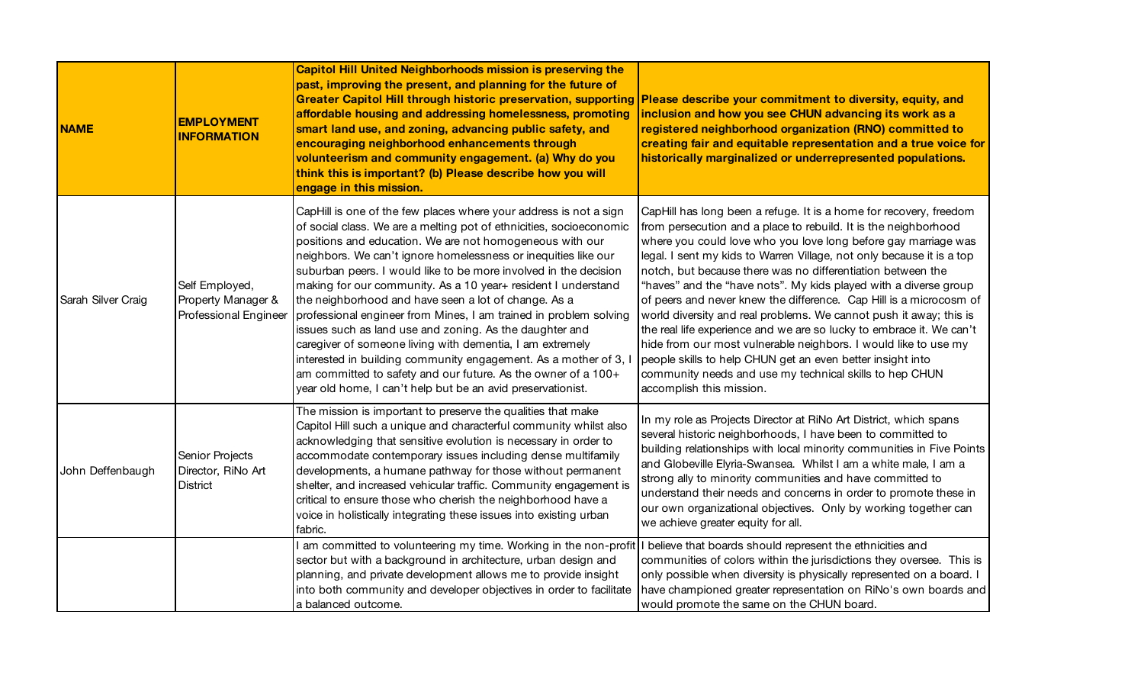| <b>NAME</b>        | <b>EMPLOYMENT</b><br><b>INFORMATION</b>                       | <b>Capitol Hill United Neighborhoods mission is preserving the</b><br>past, improving the present, and planning for the future of<br>Greater Capitol Hill through historic preservation, supporting Please describe your commitment to diversity, equity, and<br>affordable housing and addressing homelessness, promoting<br>smart land use, and zoning, advancing public safety, and<br>encouraging neighborhood enhancements through<br>volunteerism and community engagement. (a) Why do you<br>think this is important? (b) Please describe how you will<br>engage in this mission.                                                                                                                                                                                                                                                                             | inclusion and how you see CHUN advancing its work as a<br>registered neighborhood organization (RNO) committed to<br>creating fair and equitable representation and a true voice for<br>historically marginalized or underrepresented populations.                                                                                                                                                                                                                                                                                                                                                                                                                                                                                                                                                                                                              |
|--------------------|---------------------------------------------------------------|----------------------------------------------------------------------------------------------------------------------------------------------------------------------------------------------------------------------------------------------------------------------------------------------------------------------------------------------------------------------------------------------------------------------------------------------------------------------------------------------------------------------------------------------------------------------------------------------------------------------------------------------------------------------------------------------------------------------------------------------------------------------------------------------------------------------------------------------------------------------|-----------------------------------------------------------------------------------------------------------------------------------------------------------------------------------------------------------------------------------------------------------------------------------------------------------------------------------------------------------------------------------------------------------------------------------------------------------------------------------------------------------------------------------------------------------------------------------------------------------------------------------------------------------------------------------------------------------------------------------------------------------------------------------------------------------------------------------------------------------------|
| Sarah Silver Craig | Self Employed,<br>Property Manager &<br>Professional Engineer | CapHill is one of the few places where your address is not a sign<br>of social class. We are a melting pot of ethnicities, socioeconomic<br>positions and education. We are not homogeneous with our<br>neighbors. We can't ignore homelessness or inequities like our<br>suburban peers. I would like to be more involved in the decision<br>making for our community. As a 10 year+ resident I understand<br>the neighborhood and have seen a lot of change. As a<br>professional engineer from Mines, I am trained in problem solving<br>issues such as land use and zoning. As the daughter and<br>caregiver of someone living with dementia, I am extremely<br>interested in building community engagement. As a mother of 3, I<br>am committed to safety and our future. As the owner of a 100+<br>year old home, I can't help but be an avid preservationist. | CapHill has long been a refuge. It is a home for recovery, freedom<br>from persecution and a place to rebuild. It is the neighborhood<br>where you could love who you love long before gay marriage was<br>legal. I sent my kids to Warren Village, not only because it is a top<br>notch, but because there was no differentiation between the<br>"haves" and the "have nots". My kids played with a diverse group<br>of peers and never knew the difference. Cap Hill is a microcosm of<br>world diversity and real problems. We cannot push it away; this is<br>the real life experience and we are so lucky to embrace it. We can't<br>hide from our most vulnerable neighbors. I would like to use my<br>people skills to help CHUN get an even better insight into<br>community needs and use my technical skills to hep CHUN<br>accomplish this mission. |
| John Deffenbaugh   | Senior Projects<br>Director, RiNo Art<br><b>District</b>      | The mission is important to preserve the qualities that make<br>Capitol Hill such a unique and characterful community whilst also<br>acknowledging that sensitive evolution is necessary in order to<br>accommodate contemporary issues including dense multifamily<br>developments, a humane pathway for those without permanent<br>shelter, and increased vehicular traffic. Community engagement is<br>critical to ensure those who cherish the neighborhood have a<br>voice in holistically integrating these issues into existing urban<br>fabric.                                                                                                                                                                                                                                                                                                              | In my role as Projects Director at RiNo Art District, which spans<br>several historic neighborhoods, I have been to committed to<br>building relationships with local minority communities in Five Points<br>and Globeville Elyria-Swansea. Whilst I am a white male, I am a<br>strong ally to minority communities and have committed to<br>understand their needs and concerns in order to promote these in<br>our own organizational objectives. Only by working together can<br>we achieve greater equity for all.                                                                                                                                                                                                                                                                                                                                          |
|                    |                                                               | am committed to volunteering my time. Working in the non-profit   I believe that boards should represent the ethnicities and<br>sector but with a background in architecture, urban design and<br>planning, and private development allows me to provide insight<br>into both community and developer objectives in order to facilitate<br>a balanced outcome.                                                                                                                                                                                                                                                                                                                                                                                                                                                                                                       | communities of colors within the jurisdictions they oversee. This is<br>only possible when diversity is physically represented on a board. I<br>have championed greater representation on RiNo's own boards and<br>would promote the same on the CHUN board.                                                                                                                                                                                                                                                                                                                                                                                                                                                                                                                                                                                                    |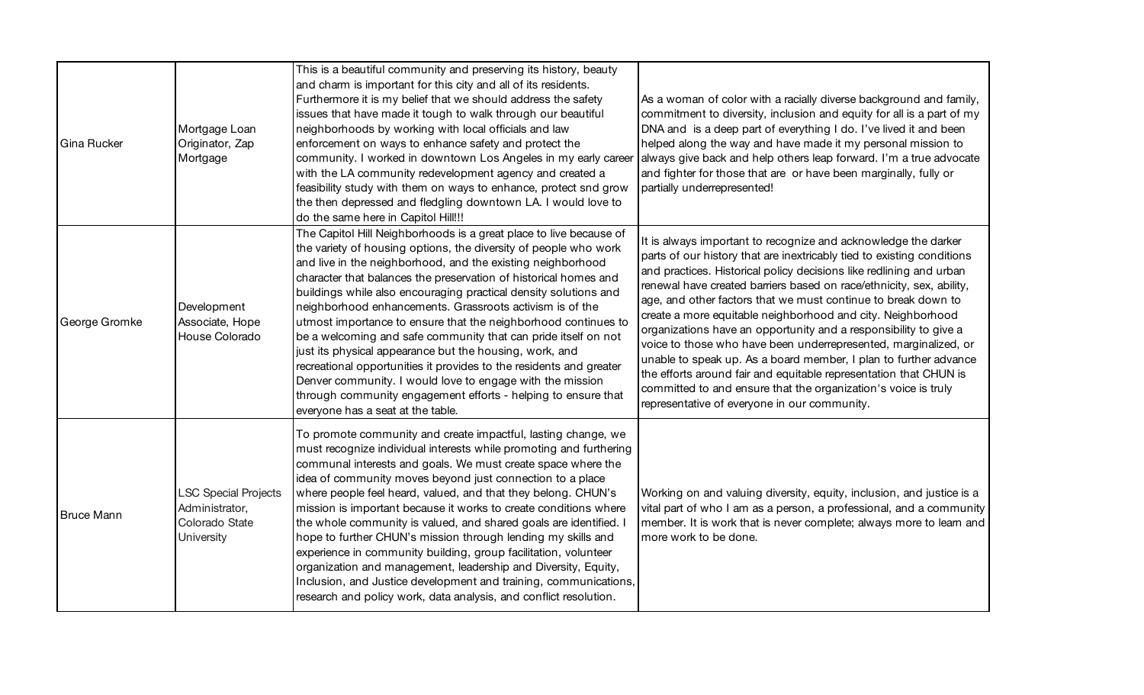| Gina Rucker       | Mortgage Loan<br>Originator, Zap<br>Mortgage                                  | This is a beautiful community and preserving its history, beauty<br>and charm is important for this city and all of its residents.<br>Furthermore it is my belief that we should address the safety<br>issues that have made it tough to walk through our beautiful<br>neighborhoods by working with local officials and law<br>enforcement on ways to enhance safety and protect the<br>community. I worked in downtown Los Angeles in my early career<br>with the LA community redevelopment agency and created a<br>feasibility study with them on ways to enhance, protect snd grow<br>the then depressed and fledgling downtown LA. I would love to<br>do the same here in Capitol Hill!!!                                                                                                                                                    | As a woman of color with a racially diverse background and family,<br>commitment to diversity, inclusion and equity for all is a part of my<br>DNA and is a deep part of everything I do. I've lived it and been<br>helped along the way and have made it my personal mission to<br>always give back and help others leap forward. I'm a true advocate<br>and fighter for those that are or have been marginally, fully or<br>partially underrepresented!                                                                                                                                                                                                                                                                                                                                                                 |
|-------------------|-------------------------------------------------------------------------------|----------------------------------------------------------------------------------------------------------------------------------------------------------------------------------------------------------------------------------------------------------------------------------------------------------------------------------------------------------------------------------------------------------------------------------------------------------------------------------------------------------------------------------------------------------------------------------------------------------------------------------------------------------------------------------------------------------------------------------------------------------------------------------------------------------------------------------------------------|---------------------------------------------------------------------------------------------------------------------------------------------------------------------------------------------------------------------------------------------------------------------------------------------------------------------------------------------------------------------------------------------------------------------------------------------------------------------------------------------------------------------------------------------------------------------------------------------------------------------------------------------------------------------------------------------------------------------------------------------------------------------------------------------------------------------------|
| George Gromke     | Development<br>Associate, Hope<br>House Colorado                              | The Capitol Hill Neighborhoods is a great place to live because of<br>the variety of housing options, the diversity of people who work<br>and live in the neighborhood, and the existing neighborhood<br>character that balances the preservation of historical homes and<br>buildings while also encouraging practical density solutions and<br>neighborhood enhancements. Grassroots activism is of the<br>utmost importance to ensure that the neighborhood continues to<br>be a welcoming and safe community that can pride itself on not<br>just its physical appearance but the housing, work, and<br>recreational opportunities it provides to the residents and greater<br>Denver community. I would love to engage with the mission<br>through community engagement efforts - helping to ensure that<br>everyone has a seat at the table. | It is always important to recognize and acknowledge the darker<br>parts of our history that are inextricably tied to existing conditions<br>and practices. Historical policy decisions like redlining and urban<br>renewal have created barriers based on race/ethnicity, sex, ability,<br>age, and other factors that we must continue to break down to<br>create a more equitable neighborhood and city. Neighborhood<br>organizations have an opportunity and a responsibility to give a<br>voice to those who have been underrepresented, marginalized, or<br>unable to speak up. As a board member, I plan to further advance<br>the efforts around fair and equitable representation that CHUN is<br>committed to and ensure that the organization's voice is truly<br>representative of everyone in our community. |
| <b>Bruce Mann</b> | <b>LSC Special Projects</b><br>Administrator,<br>Colorado State<br>University | To promote community and create impactful, lasting change, we<br>must recognize individual interests while promoting and furthering<br>communal interests and goals. We must create space where the<br>idea of community moves beyond just connection to a place<br>where people feel heard, valued, and that they belong. CHUN's<br>mission is important because it works to create conditions where<br>the whole community is valued, and shared goals are identified.<br>hope to further CHUN's mission through lending my skills and<br>experience in community building, group facilitation, volunteer<br>organization and management, leadership and Diversity, Equity,<br>Inclusion, and Justice development and training, communications,<br>research and policy work, data analysis, and conflict resolution.                             | Working on and valuing diversity, equity, inclusion, and justice is a<br>vital part of who I am as a person, a professional, and a community<br>member. It is work that is never complete; always more to learn and<br>more work to be done.                                                                                                                                                                                                                                                                                                                                                                                                                                                                                                                                                                              |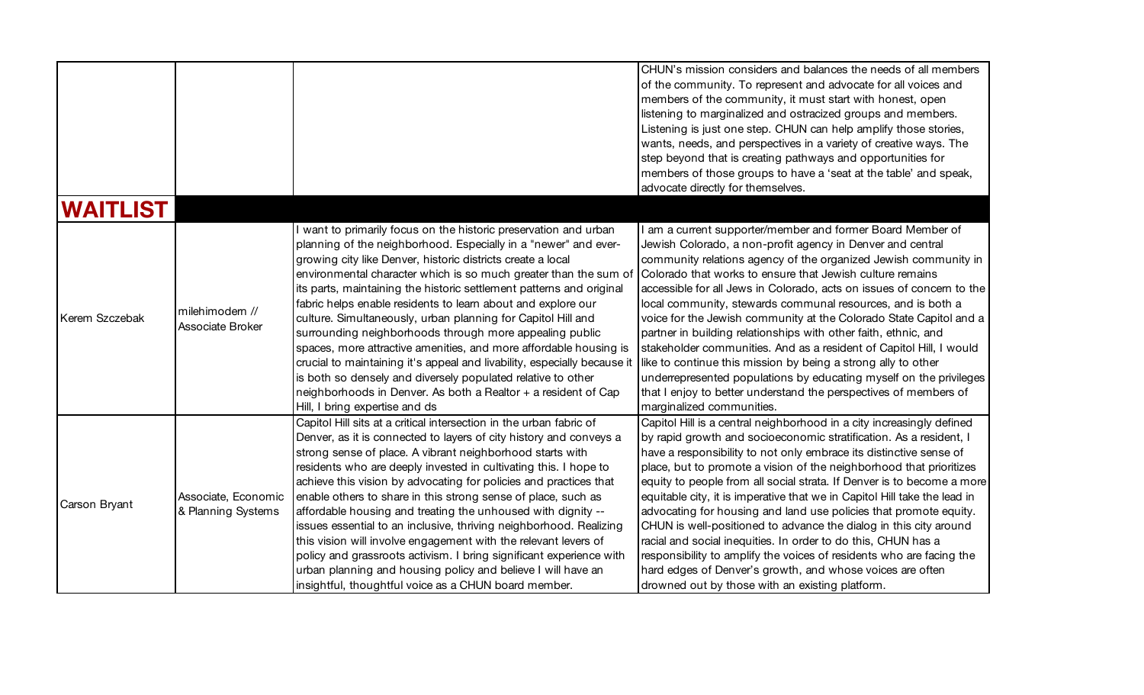|                |                                           |                                                                                                                                                                                                                                                                                                                                                                                                                                                                                                                                                                                                                                                                                                                                                                                                                                                                | CHUN's mission considers and balances the needs of all members<br>of the community. To represent and advocate for all voices and<br>members of the community, it must start with honest, open<br>listening to marginalized and ostracized groups and members.<br>Listening is just one step. CHUN can help amplify those stories,<br>wants, needs, and perspectives in a variety of creative ways. The<br>step beyond that is creating pathways and opportunities for                                                                                                                                                                                                                                                                                                                                                                                    |
|----------------|-------------------------------------------|----------------------------------------------------------------------------------------------------------------------------------------------------------------------------------------------------------------------------------------------------------------------------------------------------------------------------------------------------------------------------------------------------------------------------------------------------------------------------------------------------------------------------------------------------------------------------------------------------------------------------------------------------------------------------------------------------------------------------------------------------------------------------------------------------------------------------------------------------------------|----------------------------------------------------------------------------------------------------------------------------------------------------------------------------------------------------------------------------------------------------------------------------------------------------------------------------------------------------------------------------------------------------------------------------------------------------------------------------------------------------------------------------------------------------------------------------------------------------------------------------------------------------------------------------------------------------------------------------------------------------------------------------------------------------------------------------------------------------------|
|                |                                           |                                                                                                                                                                                                                                                                                                                                                                                                                                                                                                                                                                                                                                                                                                                                                                                                                                                                | members of those groups to have a 'seat at the table' and speak,<br>advocate directly for themselves.                                                                                                                                                                                                                                                                                                                                                                                                                                                                                                                                                                                                                                                                                                                                                    |
| WAITLIST       |                                           |                                                                                                                                                                                                                                                                                                                                                                                                                                                                                                                                                                                                                                                                                                                                                                                                                                                                |                                                                                                                                                                                                                                                                                                                                                                                                                                                                                                                                                                                                                                                                                                                                                                                                                                                          |
| Kerem Szczebak | milehimodern //<br>Associate Broker       | I want to primarily focus on the historic preservation and urban<br>planning of the neighborhood. Especially in a "newer" and ever-<br>growing city like Denver, historic districts create a local<br>environmental character which is so much greater than the sum of<br>its parts, maintaining the historic settlement patterns and original<br>fabric helps enable residents to learn about and explore our<br>culture. Simultaneously, urban planning for Capitol Hill and<br>surrounding neighborhoods through more appealing public<br>spaces, more attractive amenities, and more affordable housing is<br>crucial to maintaining it's appeal and livability, especially because it<br>is both so densely and diversely populated relative to other<br>neighborhoods in Denver. As both a Realtor + a resident of Cap<br>Hill, I bring expertise and ds | I am a current supporter/member and former Board Member of<br>Jewish Colorado, a non-profit agency in Denver and central<br>community relations agency of the organized Jewish community in<br>Colorado that works to ensure that Jewish culture remains<br>accessible for all Jews in Colorado, acts on issues of concern to the<br>local community, stewards communal resources, and is both a<br>voice for the Jewish community at the Colorado State Capitol and a<br>partner in building relationships with other faith, ethnic, and<br>stakeholder communities. And as a resident of Capitol Hill, I would<br>like to continue this mission by being a strong ally to other<br>underrepresented populations by educating myself on the privileges<br>that I enjoy to better understand the perspectives of members of<br>marginalized communities. |
| Carson Bryant  | Associate, Economic<br>& Planning Systems | Capitol Hill sits at a critical intersection in the urban fabric of<br>Denver, as it is connected to layers of city history and conveys a<br>strong sense of place. A vibrant neighborhood starts with<br>residents who are deeply invested in cultivating this. I hope to<br>achieve this vision by advocating for policies and practices that<br>enable others to share in this strong sense of place, such as<br>affordable housing and treating the unhoused with dignity --<br>issues essential to an inclusive, thriving neighborhood. Realizing<br>this vision will involve engagement with the relevant levers of<br>policy and grassroots activism. I bring significant experience with<br>urban planning and housing policy and believe I will have an<br>insightful, thoughtful voice as a CHUN board member.                                       | Capitol Hill is a central neighborhood in a city increasingly defined<br>by rapid growth and socioeconomic stratification. As a resident, I<br>have a responsibility to not only embrace its distinctive sense of<br>place, but to promote a vision of the neighborhood that prioritizes<br>equity to people from all social strata. If Denver is to become a more<br>equitable city, it is imperative that we in Capitol Hill take the lead in<br>advocating for housing and land use policies that promote equity.<br>CHUN is well-positioned to advance the dialog in this city around<br>racial and social inequities. In order to do this, CHUN has a<br>responsibility to amplify the voices of residents who are facing the<br>hard edges of Denver's growth, and whose voices are often<br>drowned out by those with an existing platform.       |